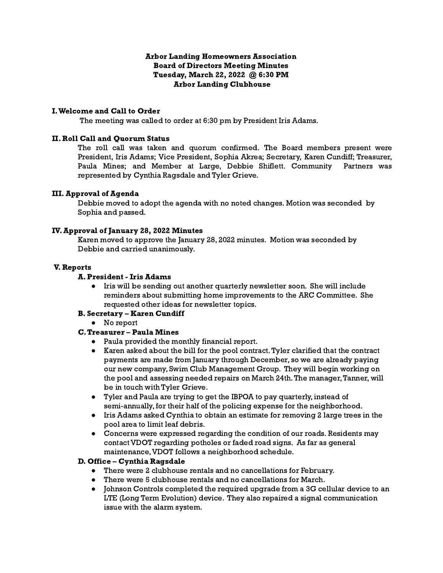### Arbor Landing Homeowners Association Board of Directors Meeting Minutes Tuesday, March 22, 2022 @ 6:30 PM Arbor Landing Clubhouse

### I.Welcome and Call to Order

The meeting was called to order at 6:30 pm by President Iris Adams.

### II. Roll Call and Quorum Status

The roll call was taken and quorum confirmed. The Board members present were President, Iris Adams; Vice President, Sophia Akrea; Secretary, Karen Cundiff; Treasurer, Paula Mines; and Member at Large, Debbie Shiflett. Community Partners was represented by Cynthia Ragsdale and Tyler Grieve.

## III. Approval of Agenda

Debbie moved to adopt the agenda with no noted changes. Motion was seconded by Sophia and passed.

## IV. Approval of January 28, 2022 Minutes

Karen moved to approve the January 28, 2022 minutes. Motion was seconded by Debbie and carried unanimously.

#### V. Reports

#### A. President - Iris Adams

● Iris will be sending out another quarterly newsletter soon. She will include reminders about submitting home improvements to the ARC Committee. She requested other ideas for newsletter topics.

# B. Secretary – Karen Cundiff

● No report

# C.Treasurer – Paula Mines

- Paula provided the monthly financial report.
- Karen asked about the bill for the pool contract.Tyler clarified that the contract payments are made from January through December, so we are already paying our new company, Swim Club Management Group. They will begin working on the pool and assessing needed repairs on March 24th. The manager, Tanner, will be in touch with Tyler Grieve.
- Tyler and Paula are trying to get the IBPOA to pay quarterly, instead of semi-annually, for their half of the policing expense for the neighborhood.
- Iris Adams asked Cynthia to obtain an estimate for removing 2 large trees in the pool area to limit leaf debris.
- Concerns were expressed regarding the condition of our roads. Residents may contact VDOT regarding potholes or faded road signs. As far as general maintenance,VDOT follows a neighborhood schedule.

#### D. Office – Cynthia Ragsdale

- There were 2 clubhouse rentals and no cancellations for February.
- There were 5 clubhouse rentals and no cancellations for March.
- Johnson Controls completed the required upgrade from a 3G cellular device to an LTE (Long Term Evolution) device. They also repaired a signal communication issue with the alarm system.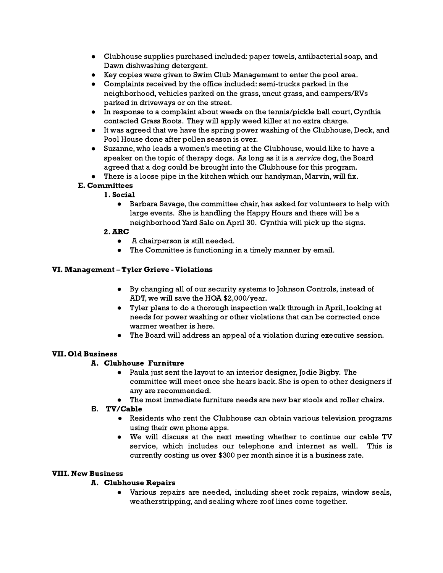- Clubhouse supplies purchased included: paper towels, antibacterial soap, and Dawn dishwashing detergent.
- Key copies were given to Swim Club Management to enter the pool area.
- Complaints received by the office included: semi-trucks parked in the neighborhood, vehicles parked on the grass, uncut grass, and campers/RVs parked in driveways or on the street.
- In response to a complaint about weeds on the tennis/pickle ball court, Cynthia contacted Grass Roots. They will apply weed killer at no extra charge.
- It was agreed that we have the spring power washing of the Clubhouse, Deck, and Pool House done after pollen season is over.
- Suzanne, who leads a women's meeting at the Clubhouse, would like to have a speaker on the topic of therapy dogs. As long as it is a service dog, the Board agreed that a dog could be brought into the Clubhouse for this program.
- There is a loose pipe in the kitchen which our handyman, Marvin, will fix.

## E. Committees

## 1. Social

● Barbara Savage, the committee chair, has asked for volunteers to help with large events. She is handling the Happy Hours and there will be a neighborhoodYard Sale on April 30. Cynthia will pick up the signs.

#### 2. ARC

- **●** A chairperson is still needed.
- The Committee is functioning in a timely manner by email.

## VI. Management – Tyler Grieve -Violations

- **●** By changing all of our security systems to Johnson Controls, instead of ADT, we will save the HOA \$2,000/year.
- Tyler plans to do a thorough inspection walk through in April, looking at needs for power washing or other violations that can be corrected once warmer weather is here.
- The Board will address an appeal of a violation during executive session.

#### VII. Old Business

# A. Clubhouse Furniture

- Paula just sent the layout to an interior designer, Jodie Bigby. The committee will meet once she hears back. She is open to other designers if any are recommended.
- The most immediate furniture needs are new bar stools and roller chairs.

#### **B.** TV/Cable

- Residents who rent the Clubhouse can obtain various television programs using their own phone apps.
- We will discuss at the next meeting whether to continue our cable TV service, which includes our telephone and internet as well. This is currently costing us over \$300 per month since it is a business rate.

#### VIII. New Business

# A. Clubhouse Repairs

● Various repairs are needed, including sheet rock repairs, window seals, weatherstripping, and sealing where roof lines come together.